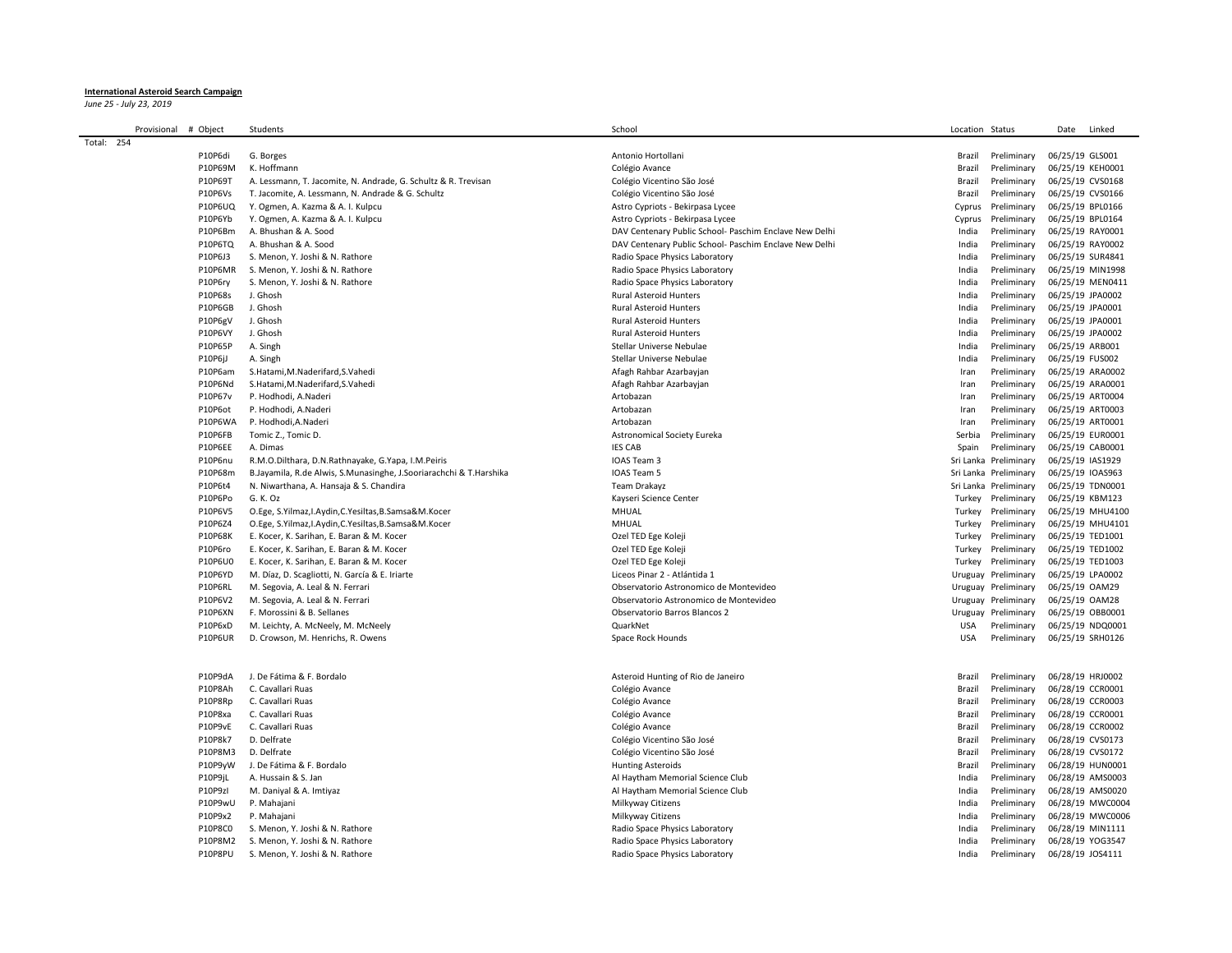## **International Asteroid Search Campaign**

*June 25 - July 23, 2019*

|            | Provisional | # Object           | Students                                                           | School                                                 | Location Status           | Date<br>Linked   |
|------------|-------------|--------------------|--------------------------------------------------------------------|--------------------------------------------------------|---------------------------|------------------|
| Total: 254 |             |                    |                                                                    |                                                        |                           |                  |
|            |             | P10P6di            | G. Borges                                                          | Antonio Hortollani                                     | Brazil<br>Preliminary     | 06/25/19 GLS001  |
|            |             | P10P69M            | K. Hoffmann                                                        | Colégio Avance                                         | Brazil<br>Preliminary     | 06/25/19 KEH0001 |
|            |             | P10P69T            | A. Lessmann, T. Jacomite, N. Andrade, G. Schultz & R. Trevisan     | Colégio Vicentino São José                             | Brazil<br>Preliminary     | 06/25/19 CVS0168 |
|            |             | P10P6Vs            | T. Jacomite, A. Lessmann, N. Andrade & G. Schultz                  | Colégio Vicentino São José                             | Brazil<br>Preliminary     | 06/25/19 CVS0166 |
|            |             | <b>P10P6UQ</b>     | Y. Ogmen, A. Kazma & A. I. Kulpcu                                  | Astro Cypriots - Bekirpasa Lycee                       | Preliminary<br>Cyprus     | 06/25/19 BPL0166 |
|            |             | P10P6Yb            | Y. Ogmen, A. Kazma & A. I. Kulpcu                                  | Astro Cypriots - Bekirpasa Lycee                       | Cyprus<br>Preliminary     | 06/25/19 BPL0164 |
|            |             | P10P6Bm            | A. Bhushan & A. Sood                                               | DAV Centenary Public School- Paschim Enclave New Delhi | India<br>Preliminary      | 06/25/19 RAY0001 |
|            |             | <b>P10P6TQ</b>     | A. Bhushan & A. Sood                                               | DAV Centenary Public School- Paschim Enclave New Delhi | Preliminary<br>India      | 06/25/19 RAY0002 |
|            |             | P10P6J3            | S. Menon, Y. Joshi & N. Rathore                                    | Radio Space Physics Laboratory                         | India<br>Preliminary      | 06/25/19 SUR4841 |
|            |             | P10P6MR            | S. Menon, Y. Joshi & N. Rathore                                    | Radio Space Physics Laboratory                         | India<br>Preliminary      | 06/25/19 MIN1998 |
|            |             | P10P6ry            | S. Menon, Y. Joshi & N. Rathore                                    | Radio Space Physics Laboratory                         | India<br>Preliminary      | 06/25/19 MEN0411 |
|            |             | P10P68s            | J. Ghosh                                                           | <b>Rural Asteroid Hunters</b>                          | Preliminary<br>India      | 06/25/19 JPA0002 |
|            |             | P10P6GB            | J. Ghosh                                                           | <b>Rural Asteroid Hunters</b>                          | India<br>Preliminary      | 06/25/19 JPA0001 |
|            |             | P10P6gV            | J. Ghosh                                                           | <b>Rural Asteroid Hunters</b>                          | Preliminary<br>India      | 06/25/19 JPA0001 |
|            |             | <b>P10P6VY</b>     | J. Ghosh                                                           | <b>Rural Asteroid Hunters</b>                          | India<br>Preliminary      | 06/25/19 JPA0002 |
|            |             | P10P65P            | A. Singh                                                           | Stellar Universe Nebulae                               | India<br>Preliminary      | 06/25/19 ARB001  |
|            |             | P10P6jJ            | A. Singh                                                           | Stellar Universe Nebulae                               | India<br>Preliminary      | 06/25/19 FUS002  |
|            |             | P10P6am            | S.Hatami, M.Naderifard, S.Vahedi                                   | Afagh Rahbar Azarbayjan                                | Preliminary<br>Iran       | 06/25/19 ARA0002 |
|            |             | P10P6Nd            | S.Hatami, M.Naderifard, S.Vahedi                                   | Afagh Rahbar Azarbayjan                                | Iran<br>Preliminary       | 06/25/19 ARA0001 |
|            |             | P10P67v            | P. Hodhodi, A.Naderi                                               | Artobazan                                              | Preliminary<br>Iran       | 06/25/19 ART0004 |
|            |             | P10P6ot            | P. Hodhodi, A.Naderi                                               | Artobazan                                              | Preliminary<br>Iran       | 06/25/19 ART0003 |
|            |             | P10P6WA            | P. Hodhodi, A. Naderi                                              | Artobazan                                              | Iran<br>Preliminary       | 06/25/19 ART0001 |
|            |             | P10P6FB            | Tomic Z., Tomic D.                                                 | <b>Astronomical Society Eureka</b>                     | Serbia<br>Preliminary     | 06/25/19 EUR0001 |
|            |             |                    |                                                                    |                                                        |                           |                  |
|            |             | P10P6EE<br>P10P6nu | A. Dimas                                                           | <b>IES CAB</b><br>IOAS Team 3                          | Preliminary<br>Spain      | 06/25/19 CAB0001 |
|            |             |                    | R.M.O.Dilthara, D.N.Rathnayake, G.Yapa, I.M.Peiris                 |                                                        | Sri Lanka Preliminary     | 06/25/19 IAS1929 |
|            |             | P10P68m            | B.Jayamila, R.de Alwis, S.Munasinghe, J.Sooriarachchi & T.Harshika | IOAS Team 5                                            | Sri Lanka Preliminary     | 06/25/19 IOAS963 |
|            |             | P10P6t4            | N. Niwarthana, A. Hansaja & S. Chandira                            | Team Drakayz                                           | Sri Lanka Preliminary     | 06/25/19 TDN0001 |
|            |             | P10P6Po            | G. K. Oz                                                           | Kayseri Science Center                                 | Turkey<br>Preliminary     | 06/25/19 KBM123  |
|            |             | P10P6V5            | O.Ege, S.Yilmaz, I.Aydin, C.Yesiltas, B.Samsa&M.Kocer              | MHUAL                                                  | Turkey<br>Preliminary     | 06/25/19 MHU4100 |
|            |             | P10P6Z4            | O.Ege, S.Yilmaz, I.Aydin, C.Yesiltas, B.Samsa&M.Kocer              | MHUAL                                                  | Turkey<br>Preliminary     | 06/25/19 MHU4101 |
|            |             | P10P68K            | E. Kocer, K. Sarihan, E. Baran & M. Kocer                          | Ozel TED Ege Koleji                                    | Preliminary<br>Turkey     | 06/25/19 TED1001 |
|            |             | P10P6ro            | E. Kocer, K. Sarihan, E. Baran & M. Kocer                          | Ozel TED Ege Koleji                                    | Turkey<br>Preliminary     | 06/25/19 TED1002 |
|            |             | P10P6U0            | E. Kocer, K. Sarihan, E. Baran & M. Kocer                          | Ozel TED Ege Koleji                                    | Preliminary<br>Turkey     | 06/25/19 TED1003 |
|            |             | P10P6YD            | M. Díaz, D. Scagliotti, N. García & E. Iriarte                     | Liceos Pinar 2 - Atlántida 1                           | Uruguay Preliminary       | 06/25/19 LPA0002 |
|            |             | P10P6RL            | M. Segovia, A. Leal & N. Ferrari                                   | Observatorio Astronomico de Montevideo                 | Uruguay Preliminary       | 06/25/19 OAM29   |
|            |             | P10P6V2            | M. Segovia, A. Leal & N. Ferrari                                   | Observatorio Astronomico de Montevideo                 | Uruguay Preliminary       | 06/25/19 OAM28   |
|            |             | P10P6XN            | F. Morossini & B. Sellanes                                         | Observatorio Barros Blancos 2                          | Uruguay Preliminary       | 06/25/19 OBB0001 |
|            |             | P10P6xD            | M. Leichty, A. McNeely, M. McNeely                                 | QuarkNet                                               | <b>USA</b><br>Preliminary | 06/25/19 NDQ0001 |
|            |             | <b>P10P6UR</b>     | D. Crowson, M. Henrichs, R. Owens                                  | Space Rock Hounds                                      | <b>USA</b><br>Preliminary | 06/25/19 SRH0126 |
|            |             |                    |                                                                    |                                                        |                           |                  |
|            |             |                    |                                                                    |                                                        |                           |                  |
|            |             | P10P9dA            | J. De Fátima & F. Bordalo                                          | Asteroid Hunting of Rio de Janeiro                     | Brazil<br>Preliminary     | 06/28/19 HRJ0002 |
|            |             | P10P8Ah            | C. Cavallari Ruas                                                  | Colégio Avance                                         | Brazil<br>Preliminary     | 06/28/19 CCR0001 |
|            |             | P10P8Rp            | C. Cavallari Ruas                                                  | Colégio Avance                                         | Preliminary<br>Brazil     | 06/28/19 CCR0003 |
|            |             | P10P8xa            | C. Cavallari Ruas                                                  | Colégio Avance                                         | Brazil<br>Preliminary     | 06/28/19 CCR0001 |
|            |             | P10P9vE            | C. Cavallari Ruas                                                  | Colégio Avance                                         | Brazil<br>Preliminary     | 06/28/19 CCR0002 |
|            |             | P10P8k7            | D. Delfrate                                                        | Colégio Vicentino São José                             | Preliminary<br>Brazil     | 06/28/19 CVS0173 |
|            |             | P10P8M3            | D. Delfrate                                                        | Colégio Vicentino São José                             | Brazil<br>Preliminary     | 06/28/19 CVS0172 |
|            |             | P10P9yW            | J. De Fátima & F. Bordalo                                          | <b>Hunting Asteroids</b>                               | Brazil<br>Preliminary     | 06/28/19 HUN0001 |
|            |             | P10P9jL            | A. Hussain & S. Jan                                                | Al Haytham Memorial Science Club                       | Preliminary<br>India      | 06/28/19 AMS0003 |
|            |             | P10P9zI            | M. Daniyal & A. Imtiyaz                                            | Al Haytham Memorial Science Club                       | Preliminary<br>India      | 06/28/19 AMS0020 |
|            |             | P10P9wU            | P. Mahajani                                                        | Milkyway Citizens                                      | India<br>Preliminary      | 06/28/19 MWC0004 |
|            |             | P10P9x2            | P. Mahajani                                                        | Milkyway Citizens                                      | India<br>Preliminary      | 06/28/19 MWC0006 |
|            |             | <b>P10P8C0</b>     | S. Menon, Y. Joshi & N. Rathore                                    | Radio Space Physics Laboratory                         | India<br>Preliminary      | 06/28/19 MIN1111 |
|            |             | P10P8M2            | S. Menon, Y. Joshi & N. Rathore                                    | Radio Space Physics Laboratory                         | India<br>Preliminary      | 06/28/19 YOG3547 |
|            |             | P10P8PU            | S. Menon, Y. Joshi & N. Rathore                                    | Radio Space Physics Laboratory                         | Preliminary<br>India      | 06/28/19 JOS4111 |
|            |             |                    |                                                                    |                                                        |                           |                  |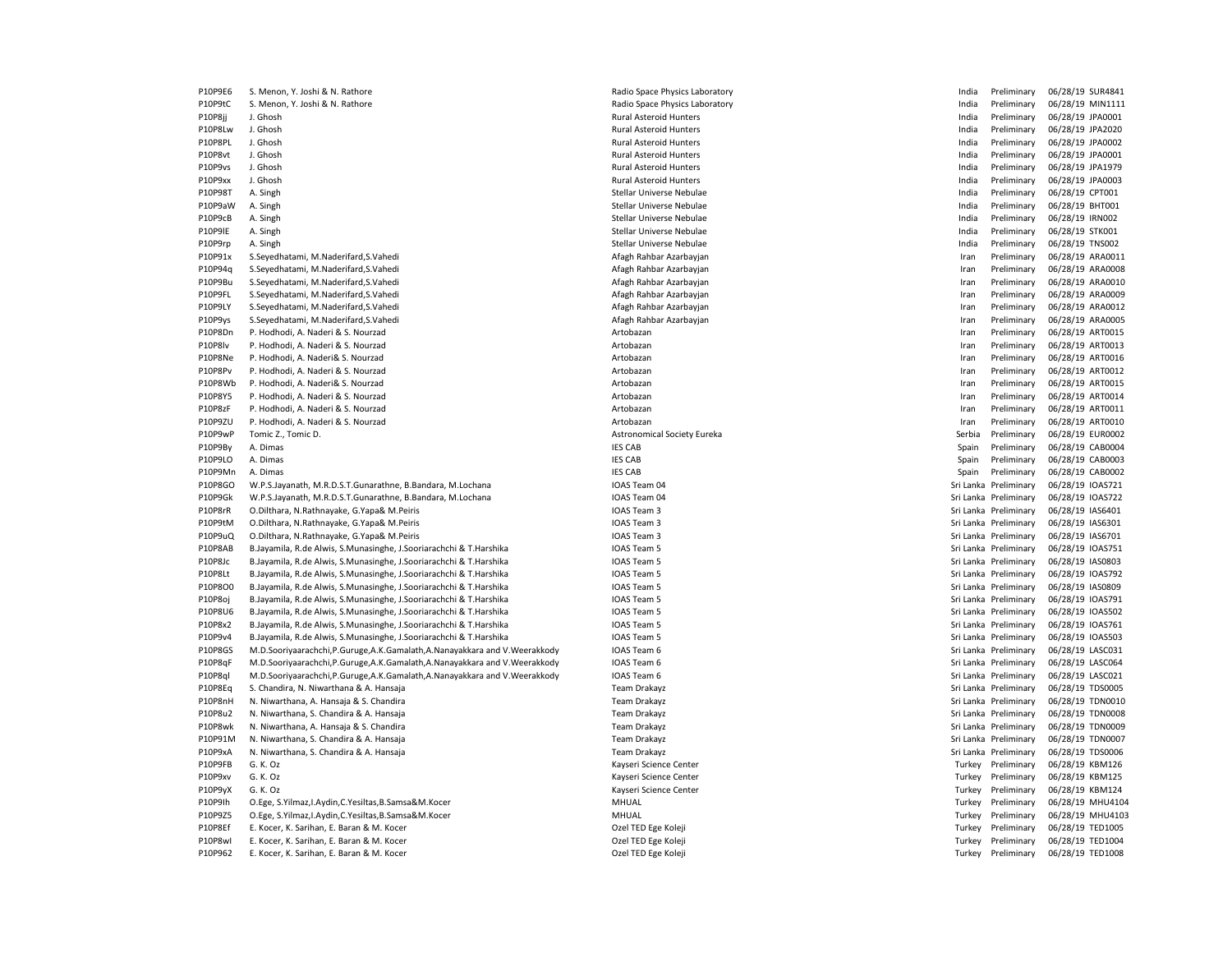P10P9E6 S. Menon, Y. Joshi & N. Rathore et a match and the Space Physics Laboratory and the Space Physics Laboratory and the Space Physics Laboratory and the Space Physics Laboratory and the Space Physics Laboratory and th P10P9tC S. Menon, Y. Joshi & N. Rathore et a match and the Space Physics Laboratory and the Munical Space Physics Laboratory and the Space Physics Laboratory of the Munical Preliminary 06/28/19 MIN1111 P10P8jj J. Ghosh Rural Asteroid Hunters India Preliminary 06/28/19 JPA0001 P10P8Lw J. Ghosh Rural Asteroid Hunters India Preliminary 06/28/19 JPA2020 P10P8PL J. Ghosh Rural Asteroid Hunters India Preliminary 06/28/19 JPA0002 P10P8vt J. Ghosh Rural Asteroid Hunters India Preliminary 06/28/19 JPA0001 P10P9vs J. Ghosh Rural Asteroid Hunters India Preliminary 06/28/19 JPA1979 P10P9xx J. Ghosh Rural Asteroid Hunters India Preliminary 06/28/19 JPA0003 P10P98T A. Singh Stellar Universe Nebulae India Preliminary 06/28/19 CPT001 P10P98T A. Singh Stellar Universe Nebulae P10P9aW A. Singh Stellar Universe Nebulae India Preliminary 06/28/19 BHT001 P10P9aW A. Singh Stellar Universe Nebulae P10P9cB A. Singh Stellar Universe Nebulae India Preliminary 06/28/19 IRN002 P10P9lE A. Singh Stellar Universe Nebulae India Preliminary 06/28/19 STK001 P10P9rp A. Singh Stellar Universe Nebulae India Preliminary 06/28/19 TNS002 P10P91x S.Seyedhatami, M.Naderifard,S.Vahedi Afagh Rahbar Azarbayjan Iran Preliminary 06/28/19 ARA0011 P10P94q S.Seyedhatami, M.Naderifard,S.Vahedi Afagh Rahbar Azarbayjan Iran Preliminary 06/28/19 ARA0008 P10P9Bu S.Seyedhatami, M.Naderifard,S.Vahedi <br>
Afagh Rahbar Azarbayjan Azarbayjan Iran Preliminary 06/28/19 ARA0010 P10P9FL S.Seyedhatami, M.Naderifard,S.Vahedi Afagh Rahbar Azarbayjan Iran Preliminary 06/28/19 ARA0009 P10P9LY S.Seyedhatami, M.Naderifard,S.Vahedi <br>
Afagh Rahbar Azarbayjan 
Afagh Rahbar Azarbayjan 
Afagh Rahbar Azarbayjan 
Afagh Rahbar Azarbayjan 
Afagh Rahbar Azarbayjan a machan a machan a machan a machan na machan na ma P10P9ys S.Seyedhatami, M.Naderifard,S.Vahedi Afagh Rahbar Azarbayjan Iran Preliminary 06/28/19 ARA0005 P10P8Dn P. Hodhodi, A. Naderi & S. Nourzad Artobazan Iran Preliminary 06/28/19 ART0015 P10P8lv P. Hodhodi, A. Naderi & S. Nourzad Artobazan Iran Preliminary 06/28/19 ART0013 P10P8Ne P. Hodhodi, A. Naderi& S. Nourzad Natural Artobazan Artobazan Artobazan Artobazan Iran Preliminary 06/28/19 ART0016 P10P8Pv P. Hodhodi, A. Naderi & S. Nourzad **Artobazan Artobazan Artobazan** Artobazan **Iran Preliminary 06/28/19 ART0012** P10P8Wb P. Hodhodi, A. Naderi& S. Nourzad Artobazan Iran Preliminary 06/28/19 ART0015 P10P8Y5 P. Hodhodi, A. Naderi & S. Nourzad Artobazan Iran Preliminary 06/28/19 ART0014 P10P8zF P. Hodhodi, A. Naderi & S. Nourzad Artobazan Iran Preliminary 06/28/19 ART0011 P10P9ZU P. Hodhodi, A. Naderi & S. Nourzad Artobazan Iran Preliminary 06/28/19 ART0010 P10P9wP Tomic Z., Tomic D. 2022/19 EUROOO2 CONDENSITIES Astronomical Society Eureka Serbia Serbia Preliminary 06/28/19 EUROOO2 P10P9By A. Dimas IES CAB Spain Preliminary 06/28/19 CAB0004 P10P9LO A. Dimas IES CAB Spain Preliminary 06/28/19 CAB0003 P10P9Mn A. Dimas IES CAB Spain Preliminary 06/28/19 CAB0002 P10P8GO W.P.S.Jayanath, M.R.D.S.T.Gunarathne, B.Bandara, M.Lochana IOAS Team 04 IOAS Team 04 Sri Lanka Preliminary 06/28/19 IOAS721 P10P9Gk W.P.S.Jayanath, M.R.D.S.T.Gunarathne, B.Bandara, M.Lochana IOAS Team 04 IOAS Team 04 Sri Lanka Preliminary 06/28/19 IOAS722 P10P8rR O.Dilthara, N.Rathnayake, G.Yapa& M.Peiris IOAS Team 3 Sri Lanka Preliminary 06/28/19 IAS6401 P10P9tM O.Dilthara, N.Rathnayake, G.Yapa& M.Peiris IOAS Team 3 Sri Lanka Preliminary 06/28/19 IAS6301 P10P9uQ O.Dilthara, N.Rathnayake, G.Yapa& M.Peiris **IOAS Team 3** IOAS Team 3 Sri Lanka Preliminary 06/28/19 IAS6701 P10P8AB B.Jayamila, R.de Alwis, S.Munasinghe, J.Sooriarachchi & T.Harshika Internetive and COAS Team 5 Sri Lanka Preliminary 06/28/19 IOAS751 P10P8Jc B.Jayamila, R.de Alwis, S.Munasinghe, J.Sooriarachchi & T.Harshika Internetive and COAS Team 5 Sri Lanka Preliminary 06/28/19 IAS0803 P10P8Lt B.Jayamila, R.de Alwis, S.Munasinghe, J.Sooriarachchi & T.Harshika IOAS Team 5 Sri Lanka Preliminary 06/28/19 IOAS792 P10P8O0 B.Jayamila, R.de Alwis, S.Munasinghe, J.Sooriarachchi & T.Harshika IOAS Team 5 Sri Lanka Preliminary 06/28/19 IAS0809 ASD NASORO9 P10P8oj B.Jayamila, R.de Alwis, S.Munasinghe, J.Sooriarachchi & T.Harshika IOAS Team 5 Sri Lanka Preliminary 06/28/19 IOAS791 P10P8U6 B.Jayamila, R.de Alwis, S.Munasinghe, J.Sooriarachchi & T.Harshika IOAS Team 5 Sri Lanka Preliminary 06/28/19 IOAS502 P10P8x2 B.Jayamila, R.de Alwis, S.Munasinghe, J.Sooriarachchi & T.Harshika IOAS Team 5 Sri Lanka Preliminary 06/28/19 IOAS761 P10P9v4 B.Jayamila, R.de Alwis, S.Munasinghe, J.Sooriarachchi & T.Harshika IOAS Team 5 Sri Lanka Preliminary 06/28/19 IOAS503 P10P8GS M.D.Sooriyaarachchi,P.Guruge,A.K.Gamalath,A.Nanayakkara and V.Weerakkody IOAS Team 6 Sri Lanka Preliminary 06/28/19 LASC031 P10P8qF M.D.Sooriyaarachchi,P.Guruge,A.K.Gamalath,A.Nanayakkara and V.Weerakkody IOAS Team 6 Sri Lanka Preliminary 06/28/19 LASC064 P10P8ql M.D.Sooriyaarachchi,P.Guruge,A.K.Gamalath,A.Nanayakkara and V.Weerakkody IOAS Team 6 Sri Lanka Preliminary 06/28/19 LASC021 P10P8Eq S. Chandira, N. Niwarthana & A. Hansaja entity and the state of the Material Team Drakayz Companishes are seen to the Stri Lanka Preliminary 06/28/19 TDS0005 P10P8nH N. Niwarthana, A. Hansaja & S. Chandira New Sri Lanka Preliminary 06/28/19 TDN0010 P10P8u2 N. Niwarthana, S. Chandira & A. Hansaja Sri Lanka Preliminary 06/28/19 TDN0008 P10P8wk N. Niwarthana, A. Hansaja & S. Chandira New Sri Lanka Preliminary 06/28/19 TDN0009 P10P91M N. Niwarthana, S. Chandira & A. Hansaja Sri Lanka Preliminary 06/28/19 TDN0007 P10P9xA N. Niwarthana, S. Chandira & A. Hansaja Sri Lanka Preliminary 06/28/19 TDS0006 P10P9FB G. K. Oz Kayseri Science Center Turkey Preliminary 06/28/19 KBM126 P10P9xv G. K. Oz Kayseri Science Center Turkey Preliminary 06/28/19 KBM125 P10P9yX G. K. Oz Kayseri Science Center Turkey Preliminary 06/28/19 KBM124 P10P9Ih O.Ege, S.Yilmaz,I.Aydin,C.Yesiltas,B.Samsa&M.Kocer MHUAL MHUAL Turkey Preliminary 06/28/19 MHU4104 P10P9Z5 O.Ege, S.Yilmaz, I.Aydin,C.Yesiltas,B.Samsa&M.Kocer MHUAL MHUAL Turkey Preliminary 06/28/19 MHU4103 P10P8Ef E. Kocer, K. Sarihan, E. Baran & M. Kocer **Carry Community Community Community** Ozel TED Ege Koleji Community Community Oriental Turkey Preliminary 06/28/19 TED1005 P10P8wI E. Kocer, K. Sarihan, E. Baran & M. Kocer **Carry Company Company Company Company Company Company Company** Osculto Turkey Preliminary 06/28/19 TED1004 P10P962 E. Kocer, K. Sarihan, E. Baran & M. Kocer **Carry Company Company Preliminary Preliminary 06/28/19 TED1008**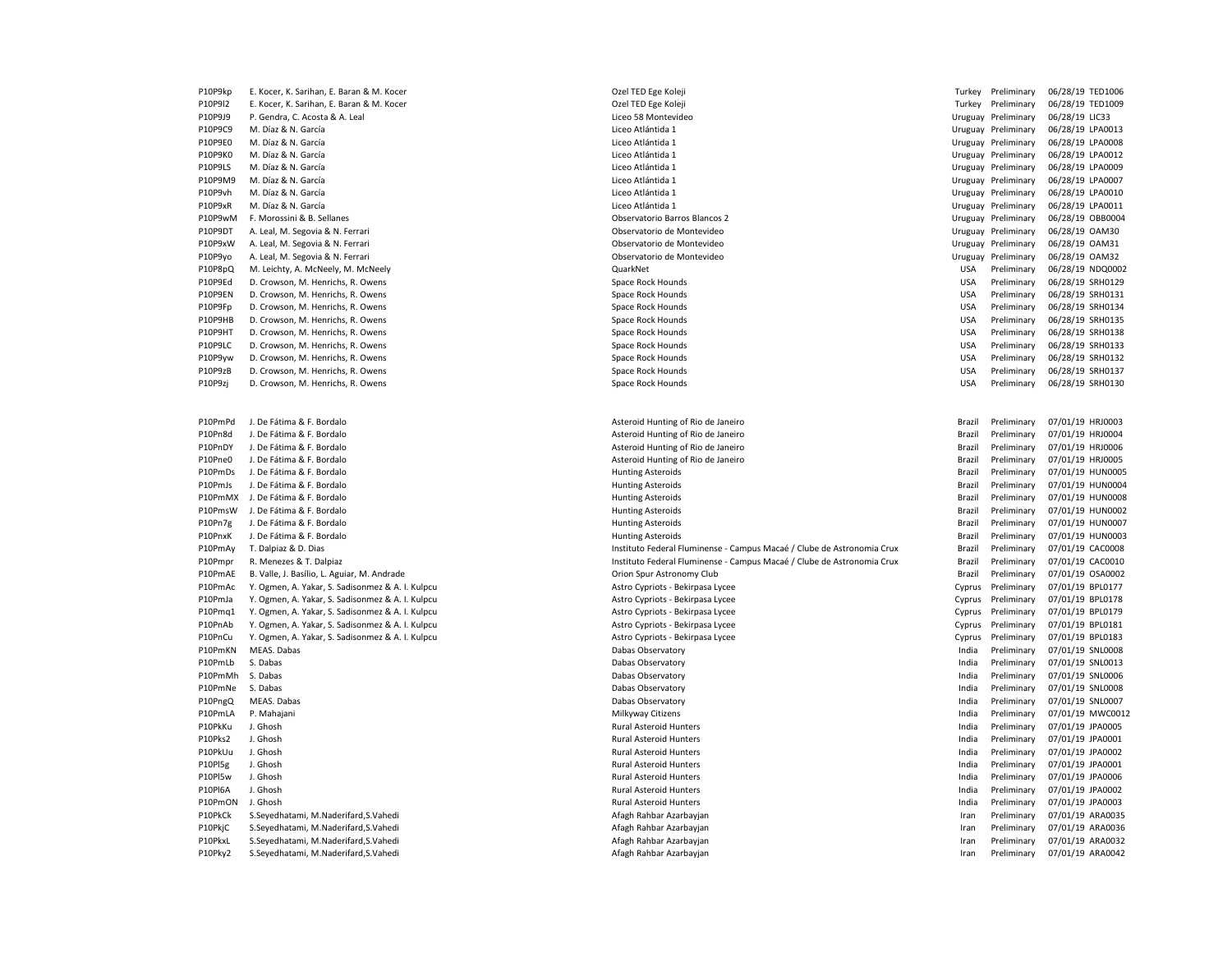| P10P9kp | E. Kocer, K. Sarihan, E. Baran & M. Kocer        |
|---------|--------------------------------------------------|
|         |                                                  |
| P10P9I2 | E. Kocer, K. Sarihan, E. Baran & M. Kocer        |
| P10P9J9 | P. Gendra, C. Acosta & A. Leal                   |
| P10P9C9 | M. Díaz & N. García                              |
| P10P9E0 | M. Díaz & N. García                              |
| P10P9K0 | M. Díaz & N. García                              |
| P10P9LS | M. Díaz & N. García                              |
| P10P9M9 | M. Díaz & N. García                              |
| P10P9vh | M. Díaz & N. García                              |
| P10P9xR | M. Díaz & N. García                              |
| P10P9wM | F. Morossini & B. Sellanes                       |
|         |                                                  |
| P10P9DT | A. Leal, M. Segovia & N. Ferrari                 |
| P10P9xW | A. Leal, M. Segovia & N. Ferrari                 |
| P10P9yo | A. Leal, M. Segovia & N. Ferrari                 |
| P10P8pQ | M. Leichty, A. McNeely, M. McNeely               |
| P10P9Ed | D. Crowson, M. Henrichs, R. Owens                |
| P10P9EN | D. Crowson, M. Henrichs, R. Owens                |
| P10P9Fp | D. Crowson, M. Henrichs, R. Owens                |
| P10P9HB | D. Crowson, M. Henrichs, R. Owens                |
| P10P9HT | D. Crowson, M. Henrichs, R. Owens                |
| P10P9LC | D. Crowson, M. Henrichs, R. Owens                |
| P10P9yw | D. Crowson, M. Henrichs, R. Owens                |
| P10P9zB | D. Crowson, M. Henrichs, R. Owens                |
| P10P9zj | D. Crowson, M. Henrichs, R. Owens                |
|         |                                                  |
|         |                                                  |
| P10PmPd | J. De Fátima & F. Bordalo                        |
| P10Pn8d | J. De Fátima & F. Bordalo                        |
|         |                                                  |
| P10PnDY | J. De Fátima & F. Bordalo                        |
| P10Pne0 | J. De Fátima & F. Bordalo                        |
| P10PmDs | J. De Fátima & F. Bordalo                        |
| P10PmJs | J. De Fátima & F. Bordalo                        |
| P10PmMX | J. De Fátima & F. Bordalo                        |
|         | P10PmsW J. De Fátima & F. Bordalo                |
| P10Pn7g | J. De Fátima & F. Bordalo                        |
| P10PnxK | J. De Fátima & F. Bordalo                        |
| P10PmAy | T. Dalpiaz & D. Dias                             |
| P10Pmpr | R. Menezes & T. Dalpiaz                          |
| P10PmAE | B. Valle, J. Basílio, L. Aguiar, M. Andrade      |
| P10PmAc | Y. Ogmen, A. Yakar, S. Sadisonmez & A. I. Kulpcu |
| P10PmJa | Y. Ogmen, A. Yakar, S. Sadisonmez & A. I. Kulpcu |
| P10Pmq1 | Y. Ogmen, A. Yakar, S. Sadisonmez & A. I. Kulpcu |
| P10PnAb | Y. Ogmen, A. Yakar, S. Sadisonmez & A. I. Kulpcu |
| P10PnCu | Y. Ogmen, A. Yakar, S. Sadisonmez & A. I. Kulpcu |
|         |                                                  |
| P10PmKN | MEAS. Dabas                                      |
| P10PmLb | S. Dabas                                         |
| P10PmMh | S. Dabas                                         |
| P10PmNe | S. Dabas                                         |
| P10PngQ | MEAS. Dabas                                      |
| P10PmLA | P. Mahajani                                      |
| P10PkKu | J. Ghosh                                         |
| P10Pks2 | J. Ghosh                                         |
| P10PkUu | J. Ghosh                                         |
| P10Pl5g | J. Ghosh                                         |
| P10Pl5w | J. Ghosh                                         |
| P10PI6A | J. Ghosh                                         |
| P10PmON | J. Ghosh                                         |
| P10PkCk | S.Seyedhatami, M.Naderifard, S.Vahedi            |
| P10PkjC |                                                  |
|         | S.Seyedhatami, M.Naderifard, S.Vahedi            |
| P10PkxL | S.Seyedhatami, M.Naderifard, S.Vahedi            |
| P10Pkv2 | S Sevedhatami M Naderifard S Vahedi              |

| P10P9kp | E. Kocer, K. Sarihan, E. Baran & M. Kocer        | Ozel TED Ege Koleji                                                    |            | Turkey Preliminary  | 06/28/19 TED1006 |
|---------|--------------------------------------------------|------------------------------------------------------------------------|------------|---------------------|------------------|
| P10P9I2 | E. Kocer, K. Sarihan, E. Baran & M. Kocer        | Ozel TED Ege Koleji                                                    |            | Turkey Preliminary  | 06/28/19 TED1009 |
| P10P9J9 | P. Gendra, C. Acosta & A. Leal                   | Liceo 58 Montevideo                                                    |            | Uruguay Preliminary | 06/28/19 LIC33   |
| P10P9C9 | M. Díaz & N. García                              | Liceo Atlántida 1                                                      |            | Uruguay Preliminary | 06/28/19 LPA0013 |
| P10P9E0 | M. Díaz & N. García                              | Liceo Atlántida 1                                                      |            | Uruguay Preliminary | 06/28/19 LPA0008 |
| P10P9K0 | M. Díaz & N. García                              | Liceo Atlántida 1                                                      |            | Uruguay Preliminary | 06/28/19 LPA0012 |
| P10P9LS | M. Díaz & N. García                              | Liceo Atlántida 1                                                      |            | Uruguay Preliminary | 06/28/19 LPA0009 |
| P10P9M9 | M. Díaz & N. García                              | Liceo Atlántida 1                                                      |            | Uruguay Preliminary | 06/28/19 LPA0007 |
| P10P9vh | M. Díaz & N. García                              | Liceo Atlántida 1                                                      |            | Uruguay Preliminary | 06/28/19 LPA0010 |
| P10P9xR | M. Díaz & N. García                              | Liceo Atlántida 1                                                      |            | Uruguay Preliminary | 06/28/19 LPA0011 |
| P10P9wM | F. Morossini & B. Sellanes                       | Observatorio Barros Blancos 2                                          |            | Uruguay Preliminary | 06/28/19 OBB0004 |
| P10P9DT | A. Leal, M. Segovia & N. Ferrari                 | Observatorio de Montevideo                                             |            | Uruguay Preliminary | 06/28/19 OAM30   |
| P10P9xW | A. Leal, M. Segovia & N. Ferrari                 | Observatorio de Montevideo                                             |            | Uruguay Preliminary | 06/28/19 OAM31   |
| P10P9yo | A. Leal, M. Segovia & N. Ferrari                 | Observatorio de Montevideo                                             |            | Uruguay Preliminary | 06/28/19 OAM32   |
| P10P8pQ | M. Leichty, A. McNeely, M. McNeely               | QuarkNet                                                               | <b>USA</b> | Preliminary         | 06/28/19 NDQ0002 |
| P10P9Ed | D. Crowson, M. Henrichs, R. Owens                | Space Rock Hounds                                                      | <b>USA</b> | Preliminary         | 06/28/19 SRH0129 |
| P10P9EN | D. Crowson, M. Henrichs, R. Owens                | Space Rock Hounds                                                      | <b>USA</b> | Preliminary         | 06/28/19 SRH0131 |
| P10P9Fp | D. Crowson, M. Henrichs, R. Owens                | Space Rock Hounds                                                      | <b>USA</b> | Preliminary         | 06/28/19 SRH0134 |
| P10P9HB | D. Crowson, M. Henrichs, R. Owens                | Space Rock Hounds                                                      | <b>USA</b> | Preliminary         | 06/28/19 SRH0135 |
| P10P9HT | D. Crowson, M. Henrichs, R. Owens                | Space Rock Hounds                                                      | <b>USA</b> | Preliminary         | 06/28/19 SRH0138 |
| P10P9LC | D. Crowson, M. Henrichs, R. Owens                | Space Rock Hounds                                                      | <b>USA</b> | Preliminary         | 06/28/19 SRH0133 |
| P10P9yw | D. Crowson, M. Henrichs, R. Owens                | Space Rock Hounds                                                      | <b>USA</b> | Preliminary         | 06/28/19 SRH0132 |
| P10P9zB | D. Crowson, M. Henrichs, R. Owens                | Space Rock Hounds                                                      | <b>USA</b> | Preliminary         | 06/28/19 SRH0137 |
| P10P9zj | D. Crowson, M. Henrichs, R. Owens                | Space Rock Hounds                                                      | <b>USA</b> | Preliminary         | 06/28/19 SRH0130 |
|         |                                                  |                                                                        |            |                     |                  |
|         |                                                  |                                                                        |            |                     |                  |
| P10PmPd | J. De Fátima & F. Bordalo                        | Asteroid Hunting of Rio de Janeiro                                     | Brazil     | Preliminary         | 07/01/19 HRJ0003 |
| P10Pn8d | J. De Fátima & F. Bordalo                        | Asteroid Hunting of Rio de Janeiro                                     | Brazil     | Preliminary         | 07/01/19 HRJ0004 |
| P10PnDY | J. De Fátima & F. Bordalo                        | Asteroid Hunting of Rio de Janeiro                                     | Brazil     | Preliminary         | 07/01/19 HRJ0006 |
| P10Pne0 | J. De Fátima & F. Bordalo                        | Asteroid Hunting of Rio de Janeiro                                     | Brazil     | Preliminary         | 07/01/19 HRJ0005 |
| P10PmDs | J. De Fátima & F. Bordalo                        | <b>Hunting Asteroids</b>                                               | Brazil     | Preliminary         | 07/01/19 HUN0005 |
| P10PmJs | J. De Fátima & F. Bordalo                        | <b>Hunting Asteroids</b>                                               | Brazil     | Preliminary         | 07/01/19 HUN0004 |
| P10PmMX | J. De Fátima & F. Bordalo                        | <b>Hunting Asteroids</b>                                               | Brazil     | Preliminary         | 07/01/19 HUN0008 |
| P10PmsW | J. De Fátima & F. Bordalo                        | <b>Hunting Asteroids</b>                                               | Brazil     | Preliminary         | 07/01/19 HUN0002 |
| P10Pn7g | J. De Fátima & F. Bordalo                        | <b>Hunting Asteroids</b>                                               | Brazil     | Preliminary         | 07/01/19 HUN0007 |
| P10PnxK | J. De Fátima & F. Bordalo                        | <b>Hunting Asteroids</b>                                               | Brazil     | Preliminary         | 07/01/19 HUN0003 |
| P10PmAy | T. Dalpiaz & D. Dias                             | Instituto Federal Fluminense - Campus Macaé / Clube de Astronomia Crux | Brazil     | Preliminary         | 07/01/19 CAC0008 |
| P10Pmpr | R. Menezes & T. Dalpiaz                          | Instituto Federal Fluminense - Campus Macaé / Clube de Astronomia Crux | Brazil     | Preliminary         | 07/01/19 CAC0010 |
| P10PmAE | B. Valle, J. Basílio, L. Aguiar, M. Andrade      | Orion Spur Astronomy Club                                              | Brazil     | Preliminary         | 07/01/19 OSA0002 |
| P10PmAc | Y. Ogmen, A. Yakar, S. Sadisonmez & A. I. Kulpcu | Astro Cypriots - Bekirpasa Lycee                                       | Cyprus     | Preliminary         | 07/01/19 BPL0177 |
| P10PmJa | Y. Ogmen, A. Yakar, S. Sadisonmez & A. I. Kulpcu | Astro Cypriots - Bekirpasa Lycee                                       | Cyprus     | Preliminary         | 07/01/19 BPL0178 |
| P10Pmq1 | Y. Ogmen, A. Yakar, S. Sadisonmez & A. I. Kulpcu | Astro Cypriots - Bekirpasa Lycee                                       | Cyprus     | Preliminary         | 07/01/19 BPL0179 |
| P10PnAb | Y. Ogmen, A. Yakar, S. Sadisonmez & A. I. Kulpcu | Astro Cypriots - Bekirpasa Lycee                                       | Cyprus     | Preliminary         | 07/01/19 BPL0181 |
| P10PnCu | Y. Ogmen, A. Yakar, S. Sadisonmez & A. I. Kulpcu | Astro Cypriots - Bekirpasa Lycee                                       | Cyprus     | Preliminary         | 07/01/19 BPL0183 |
| P10PmKN | MEAS. Dabas                                      | Dabas Observatory                                                      | India      | Preliminary         | 07/01/19 SNL0008 |
| P10PmLb | S. Dabas                                         | Dabas Observatory                                                      | India      | Preliminary         | 07/01/19 SNL0013 |
| P10PmMh | S. Dabas                                         | Dabas Observatory                                                      | India      | Preliminary         | 07/01/19 SNL0006 |
| P10PmNe | S. Dabas                                         | Dabas Observatory                                                      | India      | Preliminary         | 07/01/19 SNL0008 |
| P10PngQ | MEAS. Dabas                                      | Dabas Observatory                                                      | India      | Preliminary         | 07/01/19 SNL0007 |
| P10PmLA | P. Mahajani                                      | Milkyway Citizens                                                      | India      | Preliminary         | 07/01/19 MWC0012 |
| P10PkKu | J. Ghosh                                         | <b>Rural Asteroid Hunters</b>                                          | India      | Preliminary         | 07/01/19 JPA0005 |
| P10Pks2 | J. Ghosh                                         | <b>Rural Asteroid Hunters</b>                                          | India      | Preliminary         | 07/01/19 JPA0001 |
| P10PkUu | J. Ghosh                                         | Rural Asteroid Hunters                                                 | India      | Preliminary         | 07/01/19 JPA0002 |
| P10Pl5g | J. Ghosh                                         | Rural Asteroid Hunters                                                 | India      | Preliminary         | 07/01/19 JPA0001 |
| P10Pl5w | J. Ghosh                                         | <b>Rural Asteroid Hunters</b>                                          | India      | Preliminary         | 07/01/19 JPA0006 |
| P10PI6A | J. Ghosh                                         | <b>Rural Asteroid Hunters</b>                                          | India      | Preliminary         | 07/01/19 JPA0002 |
| P10PmON | J. Ghosh                                         | <b>Rural Asteroid Hunters</b>                                          | India      | Preliminary         | 07/01/19 JPA0003 |
| P10PkCk | S.Seyedhatami, M.Naderifard, S.Vahedi            | Afagh Rahbar Azarbayjan                                                | Iran       | Preliminary         | 07/01/19 ARA0035 |
| P10PkjC | S.Seyedhatami, M.Naderifard, S.Vahedi            | Afagh Rahbar Azarbayjan                                                | Iran       | Preliminary         | 07/01/19 ARA0036 |
| P10PkxL | S.Seyedhatami, M.Naderifard, S.Vahedi            | Afagh Rahbar Azarbayjan                                                | Iran       | Preliminary         | 07/01/19 ARA0032 |
| P10Pky2 | S.Seyedhatami, M.Naderifard, S.Vahedi            | Afagh Rahbar Azarbayjan                                                | Iran       | Preliminary         | 07/01/19 ARA0042 |
|         |                                                  |                                                                        |            |                     |                  |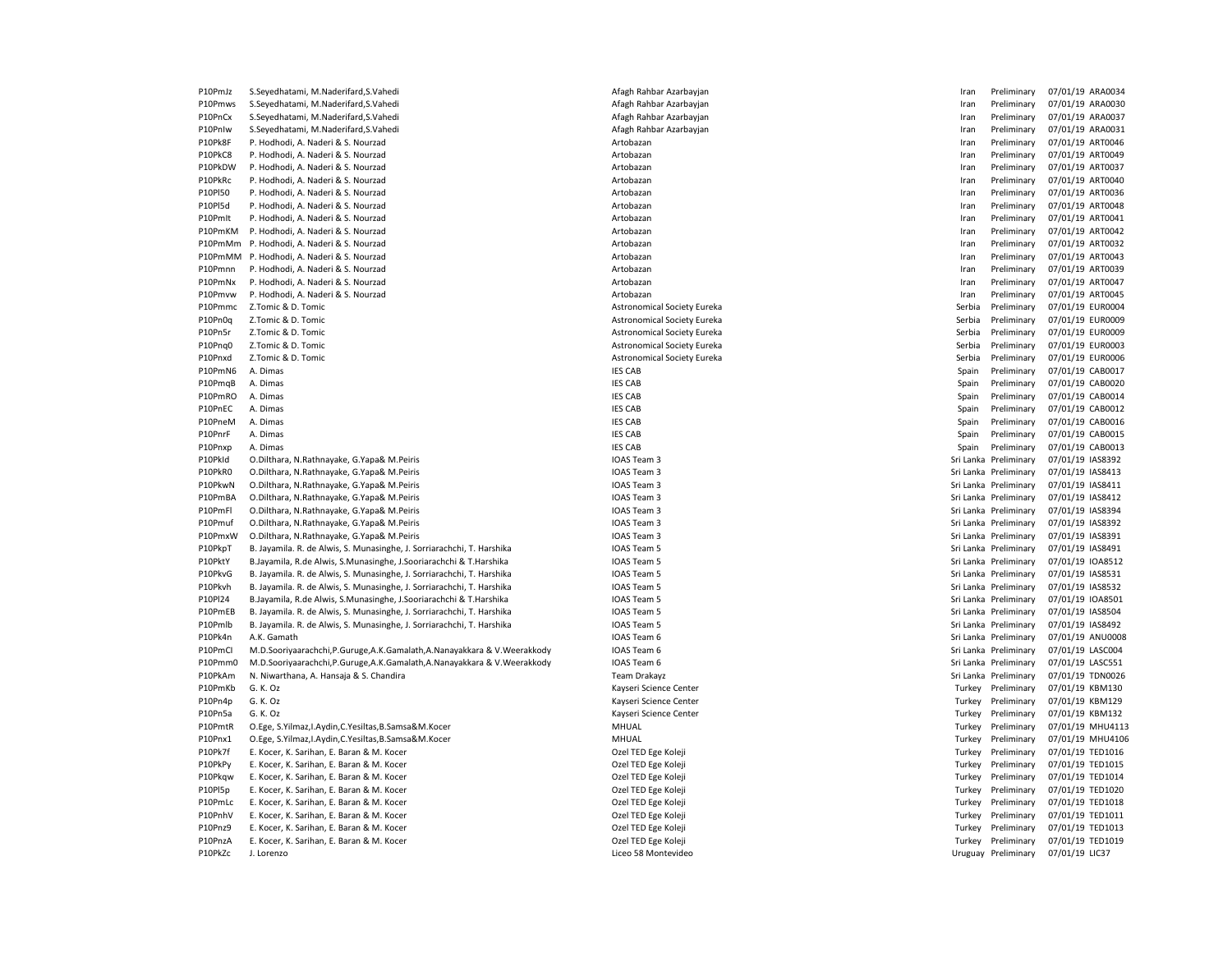P10PmJz S.Seyedhatami, M.Naderifard,S.Vahedi <br>
Afagh Rahbar Azarbayjan 
Afagh Rahbar Azarbayjan 
Afagh Rahbar Azarbayjan 
Afagh Rahbar Azarbayjan 
Afagh Rahbar Azarbayjan a machan a machan a machan a machan a machan na mac P10Pmws S.Seyedhatami, M.Naderifard,S.Vahedi <br>
Afagh Rahbar Azarbayjan 
Afagh Rahbar Azarbayjan 
Afagh Rahbar Azarbayjan 
Afagh Rahbar Azarbayjan 
Afagh Rahbar Azarbayjan a machan a machan a machan a machan na machan na ma P10PnCx S.Seyedhatami, M.Naderifard,S.Vahedi <br>
Afagh Rahbar Azarbayjan 
Afagh Rahbar Azarbayjan 
Afagh Rahbar Azarbayjan 
Afagh Rahbar Azarbayjan 
Afagh Rahbar Azarbayjan a machan a machan a machan a machan a machan na mac P10PnIw S.Seyedhatami, M.Naderifard,S.Vahedi Afagh Rahbar Azarbayjan Iran Preliminary 07/01/19 ARA0031 P10Pk8F P. Hodhodi, A. Naderi & S. Nourzad **Artobazan Artobazan Artobazan** Artobazan **Iran Preliminary 07/01/19 ART0046** P10PkC8 P. Hodhodi, A. Naderi & S. Nourzad **Artobazan Artobazan Artobazan** Artobazan **Iran Preliminary 07/01/19 ART0049** P10PkDW P. Hodhodi, A. Naderi & S. Nourzad **Artobazan Artobazan** Artobazan Artobazan Iran Preliminary 07/01/19 ART0037 P10PkRc P. Hodhodi, A. Naderi & S. Nourzad Artobazan Iran Preliminary 07/01/19 ART0040 P10Pl50 P. Hodhodi, A. Naderi & S. Nourzad 
artobazan 
artobazan 
artobazan 
artobazan 
arto a artobazan 
arto a artos a arto a arto a arto a arto a arto a arto a arto a arto a arto a arto a arto a arto a arto a arto a art ed P. Hodhodi, A. Naderi & S. Nourzad (1992) and the S. November 2012 of the Campion of Artobazan Artobazan Artobazan Artobazan Artobazan Iran Preliminary 07/01/19 ART0048<br>P10Pmlt P. Hodhodi, A. Naderi & S. Nourzad (1992) P. Hodhodi, A. Naderi & S. Nourzad **Artobazan Artobazan** Artobazan Artobazan Iran Preliminary 07/01/19 ART0041 P10PmKM P. Hodhodi, A. Naderi & S. Nourzad National Artobazan Artobazan Artobazan Artobazan Iran Preliminary 07/01/19 ART0042 P10PmMm P. Hodhodi, A. Naderi & S. Nourzad **Artobazan Artobazan Artobazan** Artobazan **Iran Preliminary 07/01/19 ART0032** P10PmMM P. Hodhodi, A. Naderi & S. Nourzad **Artobazan Artobazan Artobazan** Artobazan **Iran Preliminary 07/01/19 ART0043** P10Pmnn P. Hodhodi, A. Naderi & S. Nourzad **Artobazan Artobazan Artobazan** Artobazan **Iran Preliminary 07/01/19 ART0039** P10PmNx P. Hodhodi, A. Naderi & S. Nourzad **Artobazan Artobazan Artobazan** Artobazan **Iran Preliminary 07/01/19 ART0047** P10Pmvw P. Hodhodi, A. Naderi & S. Nourzad **Artobazan** Artobazan Artobazan **Artobazan** Iran Preliminary 07/01/19 ART0045 P10Pmmc Z.Tomic & D. Tomic Communical Society Eureka Astronomical Society Eureka Serbia Preliminary 07/01/19 EUR0004 P10Pn0q Z.Tomic & D. Tomic Computer of Computer Computer Society Eureka Society Eureka Serbia Preliminary 07/01/19 EUR0009 P10Pn5r Z.Tomic & D. Tomic Company of the D. Tomic Astronomical Society Eureka Society Eureka Serbia Serbia Preliminary 07/01/19 EUR0009 P10Pnq0 Z.Tomic & D. Tomic No. 1997 101/01/19 EUR0003 Astronomical Society Eureka Serbia Preliminary 07/01/19 EUR0003 P10Pnxd Z.Tomic & D. Tomic No. 1997 101/19 EUR0006 (P10Pnx) Astronomical Society Eureka Serbia Preliminary 07/01/19 EUR0006 P10PmN6 A. Dimas IES CAB Spain Preliminary 07/01/19 CAB0017 P10PmqB A. Dimas IES CAB Spain Preliminary 07/01/19 CAB0020 P10PmRO A. Dimas IES CAB Spain Preliminary 07/01/19 CAB0014 P10PnEC A. Dimas IES CAB Spain Preliminary 07/01/19 CAB0012 P10PneM A. Dimas IES CAB Spain Preliminary 07/01/19 CAB0016 P10PnrF A. Dimas IES CAB Spain Preliminary 07/01/19 CAB0015 P10Pnxp A. Dimas IES CAB Spain Preliminary 07/01/19 CAB0013 P10PkId O.Dilthara, N.Rathnayake, G.Yapa& M.Peiris Samus Company Sri Lanka Preliminary 07/01/19 IAS8392 P10PkR0 O.Dilthara, N.Rathnayake, G.Yapa& M.Peiris **IOAS Team 3** IOAS Team 3 Sri Lanka Preliminary 07/01/19 IAS8413 P10PkwN O.Dilthara, N.Rathnayake, G.Yapa& M.Peiris IOAS Team 3 Sri Lanka Preliminary 07/01/19 IAS8411 P10PmBA O.Dilthara, N.Rathnayake, G.Yapa& M.Peiris **IOAS IOAS Team 3** Sri Lanka Preliminary 07/01/19 IAS8412 P10PmFl O.Dilthara, N.Rathnayake, G.Yapa& M.Peiris IOAS Team 3 Sri Lanka Preliminary 07/01/19 IAS8394 P10Pmuf O.Dilthara, N.Rathnayake, G.Yapa& M.Peiris IOAS Team 3 Sri Lanka Preliminary 07/01/19 IAS8392 P10PmxW O.Dilthara, N.Rathnayake, G.Yapa& M.Peiris IOAS Team 3 Sri Lanka Preliminary 07/01/19 IAS8391 P10PkpT B. Jayamila. R. de Alwis. S. Munasinghe, J. Sorriarachchi, T. Harshika International IOAS Team 5 Sri Lanka Preliminary 07/01/19 IAS8491 P10PktY B.Jayamila, R.de Alwis, S.Munasinghe, J.Sooriarachchi & T.Harshika IOAS Team 5 Sri Lanka Preliminary 07/01/19 IOA8512 P10PkvG B. Jayamila. R. de Alwis, S. Munasinghe, J. Sorriarachchi, T. Harshika IOAS Team 5 Sri Lanka Preliminary 07/01/19 IAS8531 P10Pkvh B. Jayamila. R. de Alwis, S. Munasinghe, J. Sorriarachchi, T. Harshika IOAS Team 5 Sri Lanka Preliminary 07/01/19 IAS8532 P10Pl24 B.Jayamila, R.de Alwis, S.Munasinghe, J.Sooriarachchi & T.Harshika IOAS Team 5 Sri Lanka Preliminary 07/01/19 IOA8501 P10PmEB B. Jayamila. R. de Alwis, S. Munasinghe, J. Sorriarachchi, T. Harshika IOAS Team 5 Sri Lanka Preliminary 07/01/19 IAS8504 P10Pmlb B. Jayamila. R. de Alwis, S. Munasinghe, J. Sorriarachchi, T. Harshika IOAS Team 5 Sri Lanka Preliminary 07/01/19 IAS8492 P10Pk4n A.K. Gamath IOAS Team 6 Sri Lanka Preliminary 07/01/19 ANU0008 P10PmCI M.D.Sooriyaarachchi,P.Guruge,A.K.Gamalath,A.Nanayakkara & V.Weerakkody IOAS Team 6 Sri Lanka Preliminary 07/01/19 LASC004 P10Pmm0 M.D.Sooriyaarachchi,P.Guruge,A.K.Gamalath,A.Nanayakkara & V.Weerakkody IOAS Team 6 Sri Lanka Preliminary 07/01/19 LASC551 P10PkAm N. Niwarthana, A. Hansaja & S. Chandira New S. Chandira Team Drakayz Team Drakayz Sri Lanka Preliminary 07/01/19 TDN0026 P10PmKb G. K. Oz Kayseri Science Center Turkey Preliminary 07/01/19 KBM130 P10Pn4p G. K. Oz Kayseri Science Center Turkey Preliminary 07/01/19 KBM129 P10Pn5a G. K. Oz Kayseri Science Center Turkey Preliminary 07/01/19 KBM132 P10PmtR O.Ege, S.Yilmaz, I.Aydin,C.Yesiltas,B.Samsa&M.Kocer MHUAL MHUAL Turkey Preliminary 07/01/19 MHU4113 P10Pnx1 O.Ege, S.Yilmaz,I.Aydin,C.Yesiltas,B.Samsa&M.Kocer MHUAL MHUAL Turkey Preliminary 07/01/19 MHU4106 P10Pk7f E. Kocer, K. Sarihan, E. Baran & M. Kocer **Carry Community Community Community** Ozel TED Eqe Koleji Community Community O7/01/19 TED1016 P10PkPy E. Kocer, K. Sarihan, E. Baran & M. Kocer Caser Communication Caser Cole Caser Coleji Caser Coleji Caser Ozel TED Ege Koleji Caser Coleji Turkey Preliminary 07/01/19 TED1015 P10Pkqw E. Kocer, K. Sarihan, E. Baran & M. Kocer **Carry Community Community Community** Ozel TED Eqe Koleji Community Community Or Annual Turkey Preliminary 07/01/19 TED1014 P10Pl5p E. Kocer, K. Sarihan, E. Baran & M. Kocer **Carry Community Community** Ozel TED Ege Koleji Community Community Or Turkey Preliminary 07/01/19 TED1020 P10PmLc E. Kocer, K. Sarihan, E. Baran & M. Kocer **Carry Computer Contract Contract Contract Contract Contract Contract Contract Contract Contract Contract Contract Contract Contract Contract Contract Contract Contract Con** P10PnhV E. Kocer, K. Sarihan, E. Baran & M. Kocer **Ozel TED Ege Kolegy Caref Colegy Colegy Preliminary 07/01/19 TED1011** Colegy Preliminary 07/01/19 TED1011 P10Pnz9 E. Kocer, K. Sarihan, E. Baran & M. Kocer **Ozel TED Ege Kolegy Caref Colegy Colegy Preliminary 07/01/19 TED1013** Czel Turkey Preliminary 07/01/19 TED1013 P10PnzA E. Kocer, K. Sarihan, E. Baran & M. Kocer **Carry Company Company Company Company Preliminary 07/01/19 TED1019** P10PkZc J. Lorenzo 27/01/19 LIC37 Liceo 58 Montevideo Liceo 58 Montevideo November 2012 12:37 Preliminary 07/01/19 LIC37